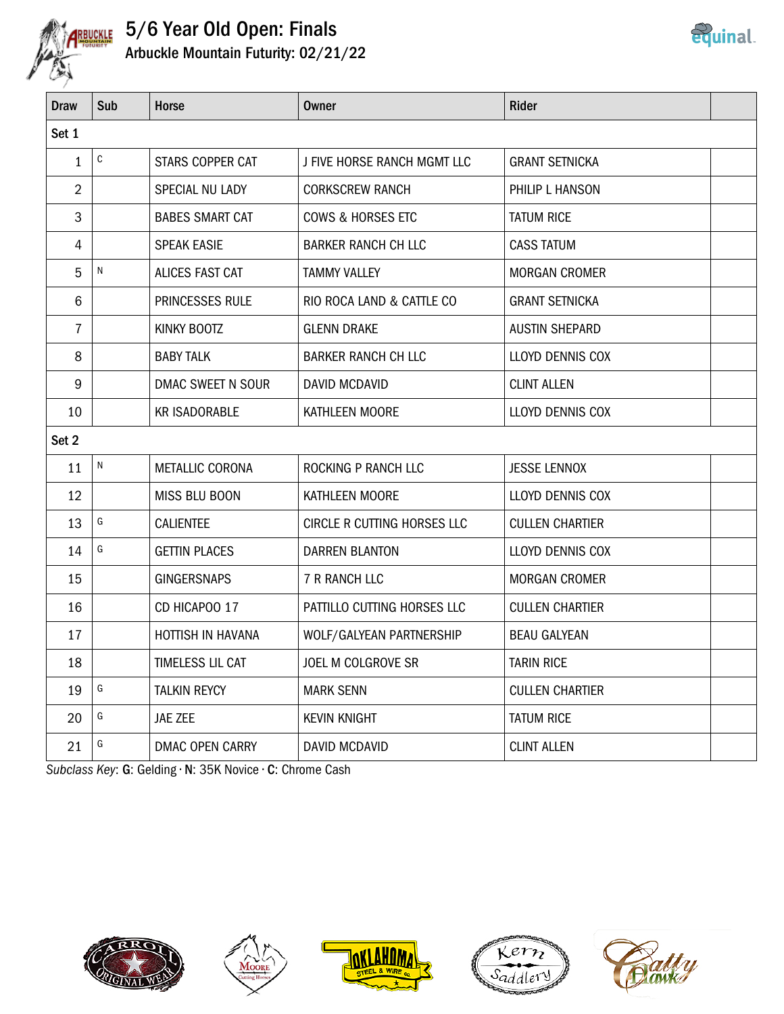

## 5/6 Year Old Open: Finals Arbuckle Mountain Futurity: 02/21/22

| <b>Draw</b>    | Sub           | Horse                  | <b>Owner</b>                 | <b>Rider</b>           |  |
|----------------|---------------|------------------------|------------------------------|------------------------|--|
| Set 1          |               |                        |                              |                        |  |
| $\mathbf{1}$   | ${\mathbb C}$ | STARS COPPER CAT       | J FIVE HORSE RANCH MGMT LLC  | <b>GRANT SETNICKA</b>  |  |
| $\overline{2}$ |               | SPECIAL NU LADY        | <b>CORKSCREW RANCH</b>       | PHILIP L HANSON        |  |
| 3              |               | <b>BABES SMART CAT</b> | <b>COWS &amp; HORSES ETC</b> | <b>TATUM RICE</b>      |  |
| 4              |               | <b>SPEAK EASIE</b>     | BARKER RANCH CH LLC          | <b>CASS TATUM</b>      |  |
| 5              | N             | ALICES FAST CAT        | <b>TAMMY VALLEY</b>          | <b>MORGAN CROMER</b>   |  |
| $6\phantom{1}$ |               | PRINCESSES RULE        | RIO ROCA LAND & CATTLE CO    | <b>GRANT SETNICKA</b>  |  |
| $\overline{7}$ |               | KINKY BOOTZ            | <b>GLENN DRAKE</b>           | <b>AUSTIN SHEPARD</b>  |  |
| 8              |               | <b>BABY TALK</b>       | <b>BARKER RANCH CH LLC</b>   | LLOYD DENNIS COX       |  |
| 9              |               | DMAC SWEET N SOUR      | <b>DAVID MCDAVID</b>         | <b>CLINT ALLEN</b>     |  |
| 10             |               | <b>KR ISADORABLE</b>   | KATHLEEN MOORE               | LLOYD DENNIS COX       |  |
| Set 2          |               |                        |                              |                        |  |
| 11             | ${\sf N}$     | METALLIC CORONA        | ROCKING P RANCH LLC          | <b>JESSE LENNOX</b>    |  |
| 12             |               | MISS BLU BOON          | KATHLEEN MOORE               | LLOYD DENNIS COX       |  |
| 13             | G             | <b>CALIENTEE</b>       | CIRCLE R CUTTING HORSES LLC  | <b>CULLEN CHARTIER</b> |  |
| 14             | G             | <b>GETTIN PLACES</b>   | <b>DARREN BLANTON</b>        | LLOYD DENNIS COX       |  |
| 15             |               | <b>GINGERSNAPS</b>     | <b>7 R RANCH LLC</b>         | <b>MORGAN CROMER</b>   |  |
| 16             |               | CD HICAPOO 17          | PATTILLO CUTTING HORSES LLC  | <b>CULLEN CHARTIER</b> |  |
| 17             |               | HOTTISH IN HAVANA      | WOLF/GALYEAN PARTNERSHIP     | <b>BEAU GALYEAN</b>    |  |
| 18             |               | TIMELESS LIL CAT       | JOEL M COLGROVE SR           | <b>TARIN RICE</b>      |  |
| 19             | G             | <b>TALKIN REYCY</b>    | <b>MARK SENN</b>             | <b>CULLEN CHARTIER</b> |  |
| 20             | G             | JAE ZEE                | <b>KEVIN KNIGHT</b>          | <b>TATUM RICE</b>      |  |
| 21             | G             | DMAC OPEN CARRY        | DAVID MCDAVID                | <b>CLINT ALLEN</b>     |  |

Subclass Key: G: Gelding • N: 35K Novice • C: Chrome Cash











<u>equinal</u>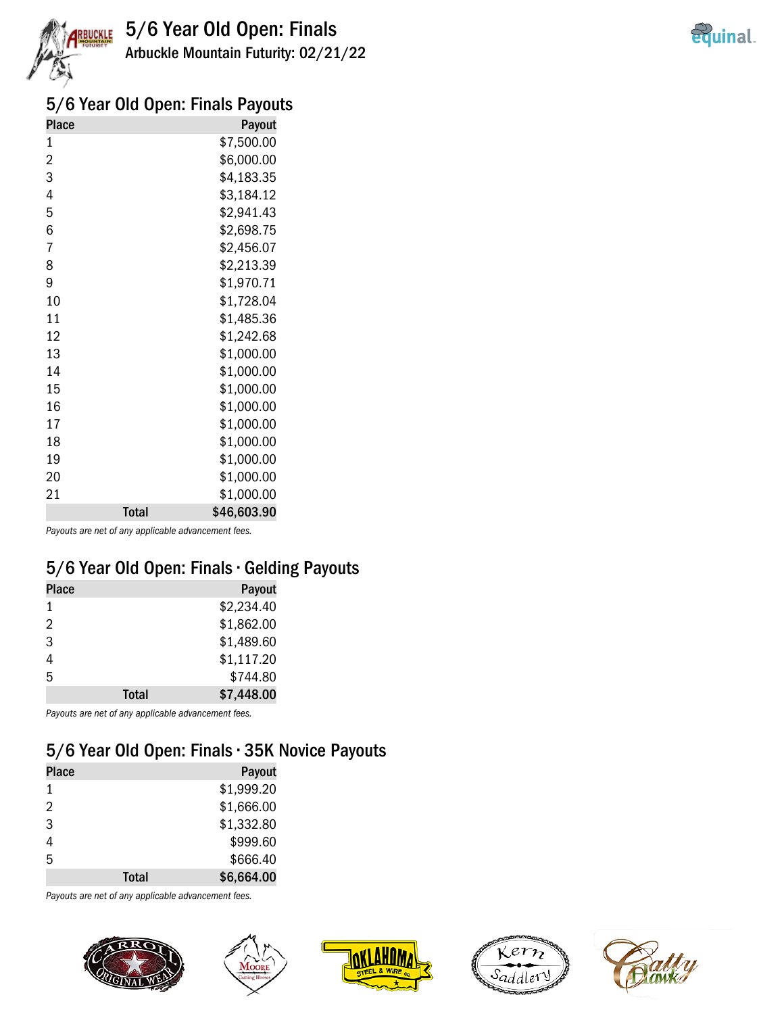



#### 5/6 Year Old Open: Finals Payouts

| <b>Place</b>   |              | Payout      |
|----------------|--------------|-------------|
| 1              |              | \$7,500.00  |
| $\overline{c}$ |              | \$6,000.00  |
| 3              |              | \$4,183.35  |
| 4              |              | \$3,184.12  |
| 5              |              | \$2,941.43  |
| 6              |              | \$2,698.75  |
| 7              |              | \$2,456.07  |
| 8              |              | \$2,213.39  |
| 9              |              | \$1,970.71  |
| 10             |              | \$1,728.04  |
| 11             |              | \$1,485.36  |
| 12             |              | \$1,242.68  |
| 13             |              | \$1,000.00  |
| 14             |              | \$1,000.00  |
| 15             |              | \$1,000.00  |
| 16             |              | \$1,000.00  |
| 17             |              | \$1,000.00  |
| 18             |              | \$1,000.00  |
| 19             |              | \$1,000.00  |
| 20             |              | \$1,000.00  |
| 21             |              | \$1,000.00  |
|                | <b>Total</b> | \$46,603.90 |

Payouts are net of any applicable advancement fees.

#### 5/6 Year Old Open: Finals • Gelding Payouts

| <b>Place</b> |       | Payout     |
|--------------|-------|------------|
| 1            |       | \$2,234.40 |
| 2            |       | \$1,862.00 |
| 3            |       | \$1,489.60 |
| 4            |       | \$1,117.20 |
| 5            |       | \$744.80   |
|              | Total | \$7,448.00 |

Payouts are net of any applicable advancement fees.

### 5/6 Year Old Open: Finals • 35K Novice Payouts

| <b>Place</b> |              | Payout     |
|--------------|--------------|------------|
| 1            |              | \$1,999.20 |
| 2            |              | \$1,666.00 |
| 3            |              | \$1,332.80 |
| 4            |              | \$999.60   |
| 5            |              | \$666.40   |
|              | <b>Total</b> | \$6,664.00 |

Payouts are net of any applicable advancement fees.